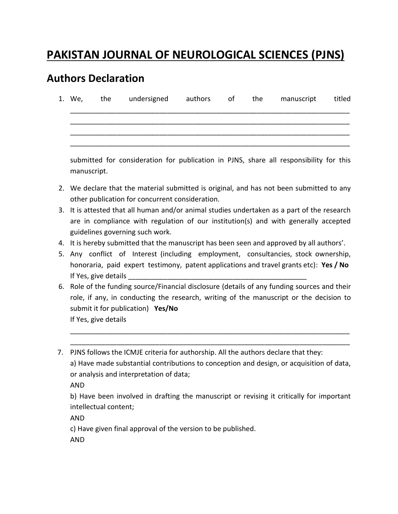## **PAKISTAN JOURNAL OF NEUROLOGICAL SCIENCES (PJNS)**

## **Authors Declaration**

|  | 1. We, the undersigned authors of the |  | manuscript | titled |
|--|---------------------------------------|--|------------|--------|
|  |                                       |  |            |        |
|  |                                       |  |            |        |

submitted for consideration for publication in PJNS, share all responsibility for this manuscript.

- 2. We declare that the material submitted is original, and has not been submitted to any other publication for concurrent consideration.
- 3. It is attested that all human and/or animal studies undertaken as a part of the research are in compliance with regulation of our institution(s) and with generally accepted guidelines governing such work.
- 4. It is hereby submitted that the manuscript has been seen and approved by all authors'.
- 5. Any conflict of Interest (including employment, consultancies, stock ownership, honoraria, paid expert testimony, patent applications and travel grants etc): **Yes / No** If Yes, give details
- 6. Role of the funding source/Financial disclosure (details of any funding sources and their role, if any, in conducting the research, writing of the manuscript or the decision to submit it for publication) **Yes/No** If Yes, give details

\_\_\_\_\_\_\_\_\_\_\_\_\_\_\_\_\_\_\_\_\_\_\_\_\_\_\_\_\_\_\_\_\_\_\_\_\_\_\_\_\_\_\_\_\_\_\_\_\_\_\_\_\_\_\_\_\_\_\_\_\_\_\_\_\_\_\_\_\_\_\_\_ \_\_\_\_\_\_\_\_\_\_\_\_\_\_\_\_\_\_\_\_\_\_\_\_\_\_\_\_\_\_\_\_\_\_\_\_\_\_\_\_\_\_\_\_\_\_\_\_\_\_\_\_\_\_\_\_\_\_\_\_\_\_\_\_\_\_\_\_\_\_\_\_

 7. PJNS follows the ICMJE criteria for authorship. All the authors declare that they: a) Have made substantial contributions to conception and design, or acquisition of data, or analysis and interpretation of data;

AND

b) Have been involved in drafting the manuscript or revising it critically for important intellectual content;

AND

c) Have given final approval of the version to be published.

AND